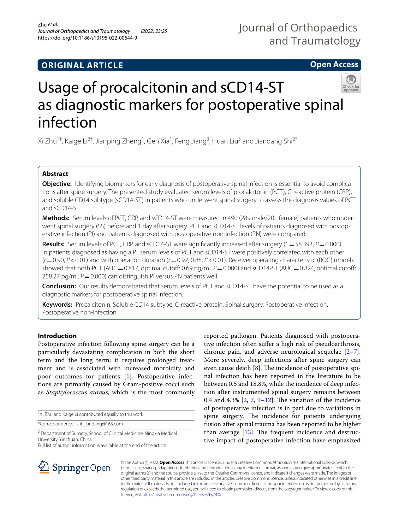# **ORIGINAL ARTICLE**

# **Open Access**



# Usage of procalcitonin and sCD14-ST as diagnostic markers for postoperative spinal infection

Xi Zhu<sup>1†</sup>, Kaige Li<sup>2†</sup>, Jianping Zheng<sup>1</sup>, Gen Xia<sup>1</sup>, Feng Jiang<sup>3</sup>, Huan Liu<sup>3</sup> and Jiandang Shi<sup>2\*</sup>

# **Abstract**

**Objective:** Identifying biomarkers for early diagnosis of postoperative spinal infection is essential to avoid complications after spine surgery. The presented study evaluated serum levels of procalcitonin (PCT), C-reactive protein (CRP), and soluble CD14 subtype (sCD14-ST) in patients who underwent spinal surgery to assess the diagnosis values of PCT and sCD14-ST.

**Methods:** Serum levels of PCT, CRP, and sCD14-ST were measured in 490 (289 male/201 female) patients who underwent spinal surgery (SS) before and 1 day after surgery. PCT and sCD14-ST levels of patients diagnosed with postoperative infection (PI) and patients diagnosed with postoperative non-infection (PN) were compared.

**Results:** Serum levels of PCT, CRP, and sCD14-ST were signifcantly increased after surgery (*F*=58.393, *P*=0.000). In patients diagnosed as having a PI, serum levels of PCT and sCD14-ST were positively correlated with each other (*r*=0.90, *P*<0.01) and with operation duration (*r*=0.92, 0.88, *P*<0.01). Receiver operating characteristic (ROC) models showed that both PCT (AUC=0.817, optimal cutoff: 0.69 ng/ml, *P*=0.000) and sCD14-ST (AUC=0.824, optimal cutoff: 258.27 pg/ml,  $P = 0.000$ ) can distinguish PI versus PN patients well.

**Conclusion:** Our results demonstrated that serum levels of PCT and sCD14-ST have the potential to be used as a diagnostic markers for postoperative spinal infection.

**Keywords:** Procalcitonin, Soluble CD14 subtype, C-reactive protein, Spinal surgery, Postoperative infection, Postoperative non-infection

# **Introduction**

Postoperative infection following spine surgery can be a particularly devastating complication in both the short term and the long term; it requires prolonged treatment and is associated with increased morbidity and poor outcomes for patients [[1\]](#page-6-0). Postoperative infections are primarily caused by Gram-positive cocci such as *Staphylococcus aureus*, which is the most commonly

† Xi Zhu and Kaige Li contributed equally to this work

\*Correspondence: shi\_jiandang@163.com

<sup>2</sup> Department of Surgery, School of Clinical Medicine, Ningxia Medical University, Yinchuan, China

Full list of author information is available at the end of the article





© The Author(s) 2022. **Open Access** This article is licensed under a Creative Commons Attribution 4.0 International License, which permits use, sharing, adaptation, distribution and reproduction in any medium or format, as long as you give appropriate credit to the original author(s) and the source, provide a link to the Creative Commons licence, and indicate if changes were made. The images or other third party material in this article are included in the article's Creative Commons licence, unless indicated otherwise in a credit line to the material. If material is not included in the article's Creative Commons licence and your intended use is not permitted by statutory regulation or exceeds the permitted use, you will need to obtain permission directly from the copyright holder. To view a copy of this licence, visit [http://creativecommons.org/licenses/by/4.0/.](http://creativecommons.org/licenses/by/4.0/)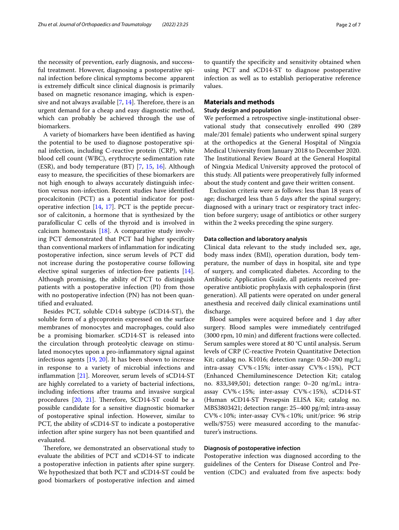the necessity of prevention, early diagnosis, and successful treatment. However, diagnosing a postoperative spinal infection before clinical symptoms become apparent is extremely difficult since clinical diagnosis is primarily based on magnetic resonance imaging, which is expensive and not always available  $[7, 14]$  $[7, 14]$  $[7, 14]$ . Therefore, there is an urgent demand for a cheap and easy diagnostic method, which can probably be achieved through the use of biomarkers.

A variety of biomarkers have been identifed as having the potential to be used to diagnose postoperative spinal infection, including C-reactive protein (CRP), white blood cell count (WBC), erythrocyte sedimentation rate (ESR), and body temperature  $(BT)$  [\[7](#page-6-2), [15,](#page-6-8) [16](#page-6-9)]. Although easy to measure, the specificities of these biomarkers are not high enough to always accurately distinguish infection versus non-infection. Recent studies have identifed procalcitonin (PCT) as a potential indicator for postoperative infection  $[14, 17]$  $[14, 17]$  $[14, 17]$  $[14, 17]$  $[14, 17]$ . PCT is the peptide precursor of calcitonin, a hormone that is synthesized by the parafollicular C cells of the thyroid and is involved in calcium homeostasis [[18\]](#page-6-11). A comparative study involving PCT demonstrated that PCT had higher specifcity than conventional markers of infammation for indicating postoperative infection, since serum levels of PCT did not increase during the postoperative course following elective spinal surgeries of infection-free patients [\[14](#page-6-7)]. Although promising, the ability of PCT to distinguish patients with a postoperative infection (PI) from those with no postoperative infection (PN) has not been quantifed and evaluated.

Besides PCT, soluble CD14 subtype (sCD14-ST), the soluble form of a glycoprotein expressed on the surface membranes of monocytes and macrophages, could also be a promising biomarker. sCD14-ST is released into the circulation through proteolytic cleavage on stimulated monocytes upon a pro-infammatory signal against infectious agents [[19](#page-6-12), [20\]](#page-6-13). It has been shown to increase in response to a variety of microbial infections and infammation [\[21](#page-6-14)]. Moreover, serum levels of sCD14-ST are highly correlated to a variety of bacterial infections, including infections after trauma and invasive surgical procedures  $[20, 21]$  $[20, 21]$  $[20, 21]$  $[20, 21]$ . Therefore, SCD14-ST could be a possible candidate for a sensitive diagnostic biomarker of postoperative spinal infection. However, similar to PCT, the ability of sCD14-ST to indicate a postoperative infection after spine surgery has not been quantifed and evaluated.

Therefore, we demonstrated an observational study to evaluate the abilities of PCT and sCD14-ST to indicate a postoperative infection in patients after spine surgery. We hypothesized that both PCT and sCD14-ST could be good biomarkers of postoperative infection and aimed to quantify the specifcity and sensitivity obtained when using PCT and sCD14-ST to diagnose postoperative infection as well as to establish perioperative reference values.

# **Materials and methods**

## **Study design and population**

We performed a retrospective single-institutional observational study that consecutively enrolled 490 (289 male/201 female) patients who underwent spinal surgery at the orthopedics at the General Hospital of Ningxia Medical University from January 2018 to December 2020. The Institutional Review Board at the General Hospital of Ningxia Medical University approved the protocol of this study. All patients were preoperatively fully informed about the study content and gave their written consent.

Exclusion criteria were as follows: less than 18 years of age; discharged less than 5 days after the spinal surgery; diagnosed with a urinary tract or respiratory tract infection before surgery; usage of antibiotics or other surgery within the 2 weeks preceding the spine surgery.

#### **Data collection and laboratory analysis**

Clinical data relevant to the study included sex, age, body mass index (BMI), operation duration, body temperature, the number of days in hospital, site and type of surgery, and complicated diabetes. According to the Antibiotic Application Guide, all patients received preoperative antibiotic prophylaxis with cephalosporin (frst generation). All patients were operated on under general anesthesia and received daily clinical examinations until discharge.

Blood samples were acquired before and 1 day after surgery. Blood samples were immediately centrifuged (3000 rpm, 10 min) and diferent fractions were collected. Serum samples were stored at 80 °C until analysis. Serum levels of CRP (C-reactive Protein Quantitative Detection Kit; catalog no. K1016; detection range: 0.50–200 mg/L; intra-assay CV%<15%; inter-assay CV%<15%), PCT (Enhanced Chemiluminescence Detection Kit; catalog no. 833,349,501; detection range: 0–20 ng/mL; intraassay CV%<15%; inter-assay CV%<15%), sCD14-ST (Human sCD14-ST Presepsin ELISA Kit; catalog no. MBS3803421; detection range: 25–400 pg/ml; intra-assay CV%<10%; inter-assay CV%<10%; unit/price: 96 strip wells/\$755) were measured according to the manufacturer's instructions.

## **Diagnosis of postoperative infection**

Postoperative infection was diagnosed according to the guidelines of the Centers for Disease Control and Prevention (CDC) and evaluated from five aspects: body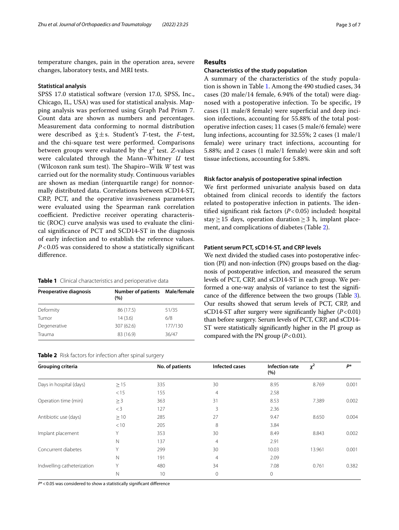temperature changes, pain in the operation area, severe changes, laboratory tests, and MRI tests.

#### **Statistical analysis**

SPSS 17.0 statistical software (version 17.0, SPSS, Inc., Chicago, IL, USA) was used for statistical analysis. Mapping analysis was performed using Graph Pad Prism 7. Count data are shown as numbers and percentages. Measurement data conforming to normal distribution were described as  $\bar{x} \pm s$ . Student's *T*-test, the *F*-test, and the chi-square test were performed. Comparisons between groups were evaluated by the  $\chi^2$  test. *Z*-values were calculated through the Mann–Whitney *U* test (Wilcoxon rank sum test). The Shapiro–Wilk *W* test was carried out for the normality study. Continuous variables are shown as median (interquartile range) for nonnormally distributed data. Correlations between sCD14-ST, CRP, PCT, and the operative invasiveness parameters were evaluated using the Spearman rank correlation coefficient. Predictive receiver operating characteristic (ROC) curve analysis was used to evaluate the clinical signifcance of PCT and SCD14-ST in the diagnosis of early infection and to establish the reference values. *P*<0.05 was considered to show a statistically signifcant diference.

<span id="page-2-0"></span>

| Preoperative diagnosis | Number of patients Male/female<br>(%) |         |  |
|------------------------|---------------------------------------|---------|--|
| Deformity              | 86 (17.5)                             | 51/35   |  |
| Tumor                  | 14(3.6)                               | 6/8     |  |
| Degenerative           | 307 (62.6)                            | 177/130 |  |
| Trauma                 | 83 (16.9)                             | 36/47   |  |

<span id="page-2-1"></span>

|  |  | Table 2 Risk factors for infection after spinal surgery |  |  |  |
|--|--|---------------------------------------------------------|--|--|--|
|--|--|---------------------------------------------------------|--|--|--|

# **Results**

#### **Characteristics of the study population**

A summary of the characteristics of the study population is shown in Table [1.](#page-2-0) Among the 490 studied cases, 34 cases (20 male/14 female, 6.94% of the total) were diagnosed with a postoperative infection. To be specifc, 19 cases (11 male/8 female) were superfcial and deep incision infections, accounting for 55.88% of the total postoperative infection cases; 11 cases (5 male/6 female) were lung infections, accounting for 32.55%; 2 cases (1 male/1 female) were urinary tract infections, accounting for 5.88%; and 2 cases (1 male/1 female) were skin and soft tissue infections, accounting for 5.88%.

#### **Risk factor analysis of postoperative spinal infection**

We frst performed univariate analysis based on data obtained from clinical records to identify the factors related to postoperative infection in patients. The identifed signifcant risk factors (*P*<0.05) included: hospital stay  $\geq$  15 days, operation duration  $\geq$  3 h, implant placement, and complications of diabetes (Table [2\)](#page-2-1).

# **Patient serum PCT, sCD14‑ST, and CRP levels**

We next divided the studied cases into postoperative infection (PI) and non-infection (PN) groups based on the diagnosis of postoperative infection, and measured the serum levels of PCT, CRP, and sCD14-ST in each group. We performed a one-way analysis of variance to test the signifcance of the diference between the two groups (Table [3](#page-3-0)). Our results showed that serum levels of PCT, CRP, and sCD14-ST after surgery were signifcantly higher (*P*<0.01) than before surgery. Serum levels of PCT, CRP, and sCD14- ST were statistically signifcantly higher in the PI group as compared with the PN group ( $P < 0.01$ ).

| Grouping criteria          |              | No. of patients | Infected cases | Infection rate<br>(%) | $x^2$  | P*    |
|----------------------------|--------------|-----------------|----------------|-----------------------|--------|-------|
| Days in hospital (days)    | $\geq$ 15    | 335             | 30             | 8.95                  | 8.769  | 0.001 |
|                            | < 15         | 155             | $\overline{4}$ | 2.58                  |        |       |
| Operation time (min)       | $\geq$ 3     | 363             | 31             | 8.53                  | 7.389  | 0.002 |
|                            | $<$ 3        | 127             | 3              | 2.36                  |        |       |
| Antibiotic use (days)      | $\geq$ 10    | 285             | 27             | 9.47                  | 8.650  | 0.004 |
|                            | < 10         | 205             | 8              | 3.84                  |        |       |
| Implant placement          | Υ            | 353             | 30             | 8.49                  | 8.843  | 0.002 |
|                            | $\mathbb N$  | 137             | 4              | 2.91                  |        |       |
| Concurrent diabetes        | Υ            | 299             | 30             | 10.03                 | 13.961 | 0.001 |
|                            | $\mathsf{N}$ | 191             | $\overline{4}$ | 2.09                  |        |       |
| Indwelling catheterization | Y            | 480             | 34             | 7.08                  | 0.761  | 0.382 |
|                            | $\mathbb N$  | 10              | $\mathbf 0$    | $\mathbf{0}$          |        |       |

*P*\*<0.05 was considered to show a statistically signifcant diference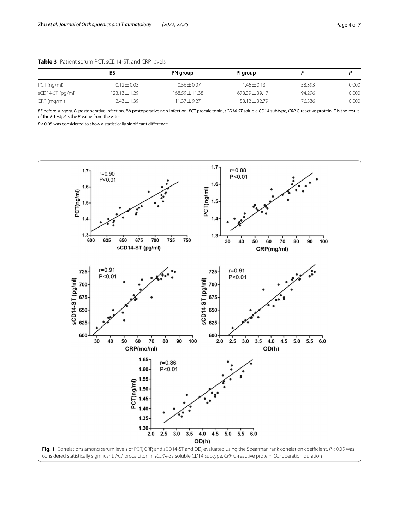|                  | BS                | PN group         | PI group          |        |       |
|------------------|-------------------|------------------|-------------------|--------|-------|
| $PCT$ (ng/ml)    | $0.12 \pm 0.03$   | $0.56 \pm 0.07$  | $1.46 \pm 0.13$   | 58.393 | 0.000 |
| sCD14-ST (pg/ml) | $123.13 \pm 1.29$ | $168.59 + 11.38$ | $678.39 + 39.17$  | 94.296 | 0.000 |
| $CRP$ (mg/ml)    | $2.43 \pm 1.39$   | $11.37 + 9.27$   | $58.12 \pm 32.79$ | 76.336 | 0.000 |

# <span id="page-3-0"></span>**Table 3** Patient serum PCT, sCD14-ST, and CRP levels

*BS* before surgery, *PI* postoperative infection, *PN* postoperative non-infection, *PCT* procalcitonin, *sCD14-ST* soluble CD14 subtype, *CRP* C-reactive protein. *F* is the result of the *F*-test; *P* is the *P*-value from the *F*-test

*P*<0.05 was considered to show a statistically signifcant diference

<span id="page-3-1"></span>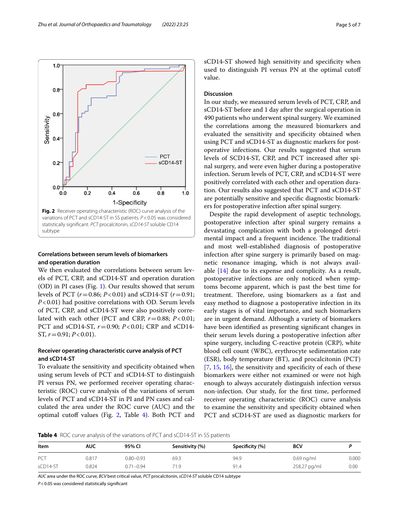

# <span id="page-4-0"></span>**Correlations between serum levels of biomarkers and operation duration**

We then evaluated the correlations between serum levels of PCT, CRP, and sCD14-ST and operation duration (OD) in PI cases (Fig. [1\)](#page-3-1). Our results showed that serum levels of PCT (*r*=0.86; *P*<0.01) and sCD14-ST (*r*=0.91; *P*<0.01) had positive correlations with OD. Serum levels of PCT, CRP, and sCD14-ST were also positively correlated with each other (PCT and CRP,  $r=0.88$ ;  $P < 0.01$ ; PCT and sCD14-ST, *r*=0.90; *P*<0.01; CRP and sCD14- ST, *r*=0.91; *P*<0.01).

# **Receiver operating characteristic curve analysis of PCT and sCD14‑ST**

To evaluate the sensitivity and specifcity obtained when using serum levels of PCT and sCD14-ST to distinguish PI versus PN, we performed receiver operating characteristic (ROC) curve analysis of the variations of serum levels of PCT and sCD14-ST in PI and PN cases and calculated the area under the ROC curve (AUC) and the optimal cutoff values (Fig.  $2$ , Table [4](#page-4-1)). Both PCT and sCD14-ST showed high sensitivity and specifcity when used to distinguish PI versus PN at the optimal cutof value.

# **Discussion**

In our study, we measured serum levels of PCT, CRP, and sCD14-ST before and 1 day after the surgical operation in 490 patients who underwent spinal surgery. We examined the correlations among the measured biomarkers and evaluated the sensitivity and specifcity obtained when using PCT and sCD14-ST as diagnostic markers for postoperative infections. Our results suggested that serum levels of SCD14-ST, CRP, and PCT increased after spinal surgery, and were even higher during a postoperative infection. Serum levels of PCT, CRP, and sCD14-ST were positively correlated with each other and operation duration. Our results also suggested that PCT and sCD14-ST are potentially sensitive and specifc diagnostic biomarkers for postoperative infection after spinal surgery.

Despite the rapid development of aseptic technology, postoperative infection after spinal surgery remains a devastating complication with both a prolonged detrimental impact and a frequent incidence. The traditional and most well-established diagnosis of postoperative infection after spine surgery is primarily based on magnetic resonance imaging, which is not always available [[14\]](#page-6-7) due to its expense and complicity. As a result, postoperative infections are only noticed when symptoms become apparent, which is past the best time for treatment. Therefore, using biomarkers as a fast and easy method to diagnose a postoperative infection in its early stages is of vital importance, and such biomarkers are in urgent demand. Although a variety of biomarkers have been identifed as presenting signifcant changes in their serum levels during a postoperative infection after spine surgery, including C-reactive protein (CRP), white blood cell count (WBC), erythrocyte sedimentation rate (ESR), body temperature (BT), and procalcitonin (PCT)  $[7, 15, 16]$  $[7, 15, 16]$  $[7, 15, 16]$  $[7, 15, 16]$  $[7, 15, 16]$  $[7, 15, 16]$ , the sensitivity and specificity of each of these biomarkers were either not examined or were not high enough to always accurately distinguish infection versus non-infection. Our study, for the frst time, performed receiver operating characteristic (ROC) curve analysis to examine the sensitivity and specifcity obtained when PCT and sCD14-ST are used as diagnostic markers for

<span id="page-4-1"></span>**Table 4** ROC curve analysis of the variations of PCT and sCD14-ST in SS patients

| Item     | AUC   | 95% CI        | Sensitivity (%) | Specificity (%) | <b>BCV</b>   |       |
|----------|-------|---------------|-----------------|-----------------|--------------|-------|
| PCT      | 0.817 | $0.80 - 0.93$ | 69.3            | 94.9            | $0.69$ ng/ml | 0.000 |
| sCD14-ST | 0.824 | $0.71 - 0.94$ | 71.9            | 91.4            | 258.27 pg/ml | 0.00  |

*AUC* area under the ROC curve, *BCV* best critical value, *PCT* procalcitonin, *sCD14-ST* soluble CD14 subtype

*P*<0.05 was considered statistically signifcant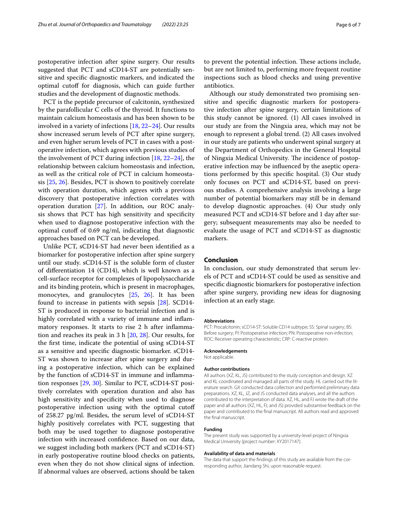postoperative infection after spine surgery. Our results suggested that PCT and sCD14-ST are potentially sensitive and specifc diagnostic markers, and indicated the optimal cutoff for diagnosis, which can guide further studies and the development of diagnostic methods.

PCT is the peptide precursor of calcitonin, synthesized by the parafollicular C cells of the thyroid. It functions to maintain calcium homeostasis and has been shown to be involved in a variety of infections [[18,](#page-6-11) [22–](#page-6-15)[24\]](#page-6-16). Our results show increased serum levels of PCT after spine surgery, and even higher serum levels of PCT in cases with a postoperative infection, which agrees with previous studies of the involvement of PCT during infection [\[18](#page-6-11), [22–](#page-6-15)[24\]](#page-6-16), the relationship between calcium homeostasis and infection, as well as the critical role of PCT in calcium homeostasis [[25,](#page-6-17) [26](#page-6-18)]. Besides, PCT is shown to positively correlate with operation duration, which agrees with a previous discovery that postoperative infection correlates with operation duration [[27\]](#page-6-19). In addition, our ROC analysis shows that PCT has high sensitivity and specifcity when used to diagnose postoperative infection with the optimal cutoff of  $0.69$  ng/ml, indicating that diagnostic approaches based on PCT can be developed.

Unlike PCT, sCD14-ST had never been identifed as a biomarker for postoperative infection after spine surgery until our study. sCD14-ST is the soluble form of cluster of diferentiation 14 (CD14), which is well known as a cell-surface receptor for complexes of lipopolysaccharide and its binding protein, which is present in macrophages, monocytes, and granulocytes [[25](#page-6-17), [26](#page-6-18)]. It has been found to increase in patients with sepsis [\[28](#page-6-20)]. SCD14- ST is produced in response to bacterial infection and is highly correlated with a variety of immune and infammatory responses. It starts to rise 2 h after infammation and reaches its peak in 3 h [\[20](#page-6-13), [28](#page-6-20)]. Our results, for the frst time, indicate the potential of using sCD14-ST as a sensitive and specifc diagnostic biomarker. sCD14- ST was shown to increase after spine surgery and during a postoperative infection, which can be explained by the function of sCD14-ST in immune and infammation responses [[29,](#page-6-21) [30\]](#page-6-22). Similar to PCT, sCD14-ST positively correlates with operation duration and also has high sensitivity and specifcity when used to diagnose postoperative infection using with the optimal cutof of 258.27 pg/ml. Besides, the serum level of sCD14-ST highly positively correlates with PCT, suggesting that both may be used together to diagnose postoperative infection with increased confdence. Based on our data, we suggest including both markers (PCT and sCD14-ST) in early postoperative routine blood checks on patients, even when they do not show clinical signs of infection. If abnormal values are observed, actions should be taken to prevent the potential infection. These actions include, but are not limited to, performing more frequent routine inspections such as blood checks and using preventive antibiotics.

Although our study demonstrated two promising sensitive and specifc diagnostic markers for postoperative infection after spine surgery, certain limitations of this study cannot be ignored. (1) All cases involved in our study are from the Ningxia area, which may not be enough to represent a global trend. (2) All cases involved in our study are patients who underwent spinal surgery at the Department of Orthopedics in the General Hospital of Ningxia Medical University. The incidence of postoperative infection may be infuenced by the aseptic operations performed by this specifc hospital. (3) Our study only focuses on PCT and sCD14-ST, based on previous studies. A comprehensive analysis involving a large number of potential biomarkers may still be in demand to develop diagnostic approaches. (4) Our study only measured PCT and sCD14-ST before and 1 day after surgery; subsequent measurements may also be needed to evaluate the usage of PCT and sCD14-ST as diagnostic markers.

# **Conclusion**

In conclusion, our study demonstrated that serum levels of PCT and sCD14-ST could be used as sensitive and specifc diagnostic biomarkers for postoperative infection after spine surgery, providing new ideas for diagnosing infection at an early stage.

#### **Abbreviations**

PCT: Procalcitonin; sCD14-ST: Soluble CD14 subtype; SS: Spinal surgery; BS: Before surgery; PI: Postoperative infection; PN: Postoperative non-infection; ROC: Receiver operating characteristic; CRP: C-reactive protein.

#### **Acknowledgements**

Not applicable.

#### **Author contributions**

All authors (XZ, KL, JS) contributed to the study conception and design. XZ and KL coordinated and managed all parts of the study. HL carried out the literature search. GX conducted data collection and performed preliminary data preparations. XZ, KL, JZ, and JS conducted data analyses, and all the authors contributed to the interpretation of data. XZ, HL, and FJ wrote the draft of the paper and all authors (XZ, HL, FJ, and JS) provided substantive feedback on the paper and contributed to the fnal manuscript. All authors read and approved the fnal manuscript.

## **Funding**

The present study was supported by a university-level project of Ningxia Medical University (project number: XY2017147).

#### **Availability of data and materials**

The data that support the fndings of this study are available from the corresponding author, Jiandang Shi, upon reasonable request.